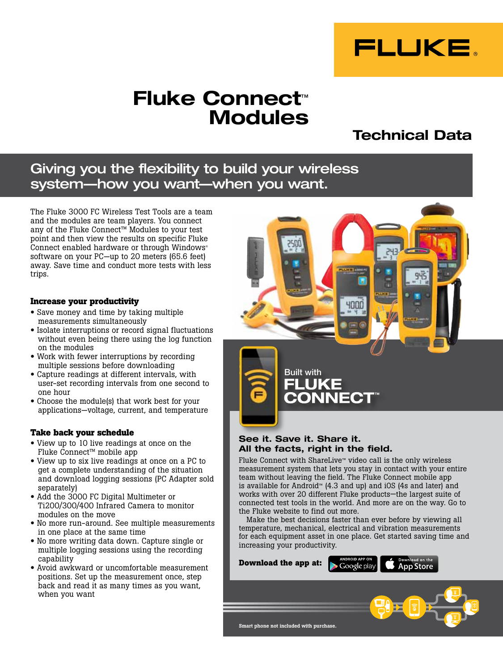

# Fluke Connect™ Modules

# Technical Data

# Giving you the flexibility to build your wireless system—how you want—when you want.

The Fluke 3000 FC Wireless Test Tools are a team and the modules are team players. You connect any of the Fluke Connect™ Modules to your test point and then view the results on specific Fluke Connect enabled hardware or through Windows® software on your PC—up to 20 meters (65.6 feet) away. Save time and conduct more tests with less trips.

#### **Increase your productivity**

- Save money and time by taking multiple measurements simultaneously
- Isolate interruptions or record signal fluctuations without even being there using the log function on the modules
- Work with fewer interruptions by recording multiple sessions before downloading
- Capture readings at different intervals, with user-set recording intervals from one second to one hour
- Choose the module(s) that work best for your applications—voltage, current, and temperature

## **Take back your schedule**

- View up to 10 live readings at once on the Fluke Connect™ mobile app
- View up to six live readings at once on a PC to get a complete understanding of the situation and download logging sessions (PC Adapter sold separately)
- Add the 3000 FC Digital Multimeter or Ti200/300/400 Infrared Camera to monitor modules on the move
- No more run-around. See multiple measurements in one place at the same time
- No more writing data down. Capture single or multiple logging sessions using the recording capability
- Avoid awkward or uncomfortable measurement positions. Set up the measurement once, step back and read it as many times as you want, when you want



# See it. Save it. Share it. All the facts, right in the field.

Fluke Connect with ShareLive™ video call is the only wireless measurement system that lets you stay in contact with your entire team without leaving the field. The Fluke Connect mobile app is available for Android™ (4.3 and up) and iOS (4s and later) and works with over 20 different Fluke products—the largest suite of connected test tools in the world. And more are on the way. Go to the Fluke website to find out more.

Make the best decisions faster than ever before by viewing all temperature, mechanical, electrical and vibration measurements for each equipment asset in one place. Get started saving time and increasing your productivity.

**Download the app at:**Google play **App Store** Smart phone not included with purchase.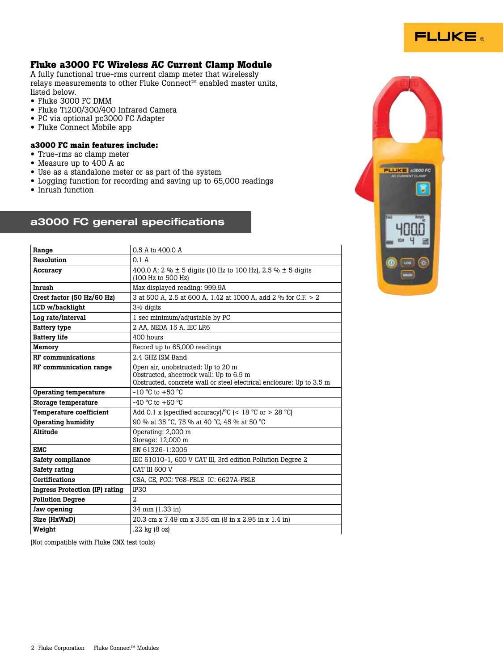

# **Fluke a3000 FC Wireless AC Current Clamp Module**

A fully functional true-rms current clamp meter that wirelessly relays measurements to other Fluke Connect™ enabled master units, listed below.

- Fluke 3000 FC DMM
- Fluke Ti200/300/400 Infrared Camera
- PC via optional pc3000 FC Adapter
- Fluke Connect Mobile app

#### **a3000 FC main features include:**

- True-rms ac clamp meter
- Measure up to 400 A ac
- Use as a standalone meter or as part of the system
- Logging function for recording and saving up to 65,000 readings
- Inrush function

# a3000 FC general specifications

**LETER A3000 FC**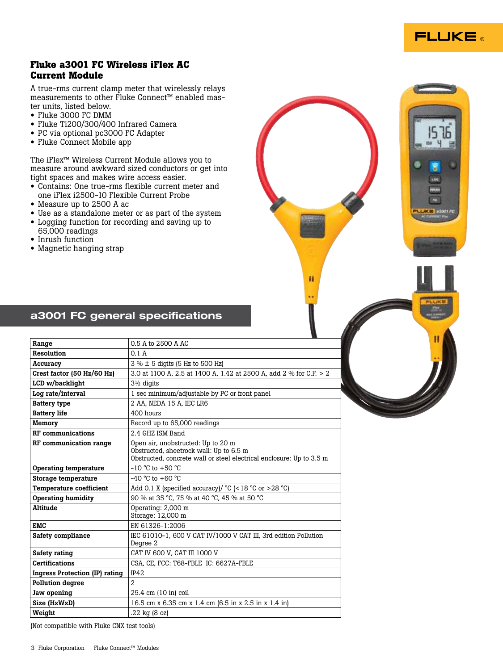

# **Fluke a3001 FC Wireless iFlex AC Current Module**

A true-rms current clamp meter that wirelessly relays measurements to other Fluke Connect™ enabled master units, listed below.

- Fluke 3000 FC DMM
- Fluke Ti200/300/400 Infrared Camera
- PC via optional pc3000 FC Adapter
- Fluke Connect Mobile app

The iFlex™ Wireless Current Module allows you to measure around awkward sized conductors or get into tight spaces and makes wire access easier.

- Contains: One true-rms flexible current meter and one iFlex i2500-10 Flexible Current Probe
- Measure up to 2500 A ac
- Use as a standalone meter or as part of the system
- Logging function for recording and saving up to 65,000 readings
- Inrush function
- Magnetic hanging strap



Ħ

# a3001 FC general specifications

| 0.5 A to 2500 A AC                                                                                                                                    |
|-------------------------------------------------------------------------------------------------------------------------------------------------------|
| 0.1A                                                                                                                                                  |
| $3\% \pm 5$ digits (5 Hz to 500 Hz)                                                                                                                   |
| 3.0 at 1100 A, 2.5 at 1400 A, 1.42 at 2500 A, add 2 % for C.F. > 2                                                                                    |
| $3\frac{1}{2}$ digits                                                                                                                                 |
| 1 sec minimum/adjustable by PC or front panel                                                                                                         |
| 2 AA, NEDA 15 A, IEC LR6                                                                                                                              |
| 400 hours                                                                                                                                             |
| Record up to 65,000 readings                                                                                                                          |
| 2.4 GHZ ISM Band                                                                                                                                      |
| Open air, unobstructed: Up to 20 m<br>Obstructed, sheetrock wall: Up to 6.5 m<br>Obstructed, concrete wall or steel electrical enclosure: Up to 3.5 m |
| $-10$ °C to $+50$ °C                                                                                                                                  |
| $-40$ °C to $+60$ °C                                                                                                                                  |
| Add 0.1 X (specified accuracy)/ $°C$ (<18 $°C$ or >28 $°C$ )                                                                                          |
| 90 % at 35 °C, 75 % at 40 °C, 45 % at 50 °C                                                                                                           |
| Operating: 2,000 m<br>Storage: 12,000 m                                                                                                               |
| EN 61326-1:2006                                                                                                                                       |
| IEC 61010-1, 600 V CAT IV/1000 V CAT III, 3rd edition Pollution<br>Degree 2                                                                           |
| CAT IV 600 V, CAT III 1000 V                                                                                                                          |
| CSA, CE, FCC: T68-FBLE IC: 6627A-FBLE                                                                                                                 |
| IP42                                                                                                                                                  |
| $\overline{2}$                                                                                                                                        |
| 25.4 cm (10 in) coil                                                                                                                                  |
| 16.5 cm x 6.35 cm x 1.4 cm (6.5 in x 2.5 in x 1.4 in)                                                                                                 |
| .22 kg (8 oz)                                                                                                                                         |
|                                                                                                                                                       |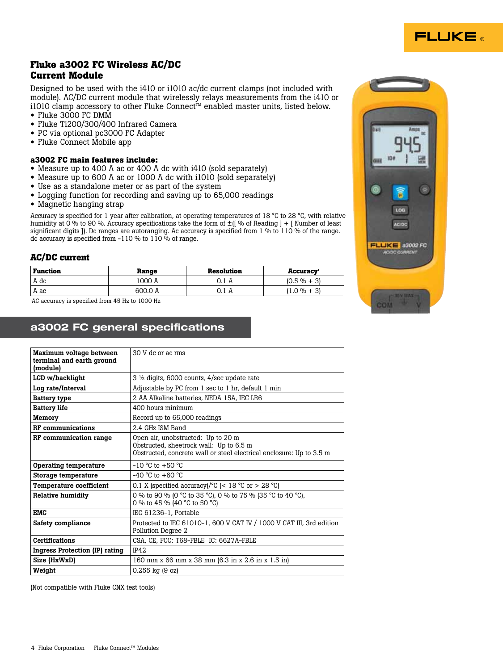

# **Fluke a3002 FC Wireless AC/DC Current Module**

Designed to be used with the i410 or i1010 ac/dc current clamps (not included with module). AC/DC current module that wirelessly relays measurements from the i410 or i1010 clamp accessory to other Fluke Connect™ enabled master units, listed below.

- Fluke 3000 FC DMM
- Fluke Ti200/300/400 Infrared Camera
- PC via optional pc3000 FC Adapter
- Fluke Connect Mobile app

## **a3002 FC main features include:**

- Measure up to 400 A ac or 400 A dc with i410 (sold separately)
- Measure up to 600 A ac or 1000 A dc with i1010 (sold separately)
- Use as a standalone meter or as part of the system
- Logging function for recording and saving up to 65,000 readings
- Magnetic hanging strap

Accuracy is specified for 1 year after calibration, at operating temperatures of 18 °C to 28 °C, with relative humidity at 0 % to 90 %. Accuracy specifications take the form of  $\pm$  | % of Reading ] + [ Number of least significant digits ]). Dc ranges are autoranging. Ac accuracy is specified from 1 % to 110 % of the range. dc accuracy is specified from  $-110\%$  to  $110\%$  of range.

## **AC/DC current**

| Function | Range   | Resolution | <b>Accuracy</b> |
|----------|---------|------------|-----------------|
| A dc     | 1000 A  | 0.1 A      | $(0.5\% + 3)$   |
| i A ac   | 600.0 A | 0.1 A      | $(1.0 \% + 3)$  |

1 AC accuracy is specified from 45 Hz to 1000 Hz

# a3002 FC general specifications

| Maximum voltage between<br>terminal and earth ground<br>(module) | 30 V dc or ac rms                                                                                                                                     |
|------------------------------------------------------------------|-------------------------------------------------------------------------------------------------------------------------------------------------------|
| LCD w/backlight                                                  | $3\frac{1}{2}$ digits, 6000 counts, 4/sec update rate                                                                                                 |
| Log rate/Interval                                                | Adjustable by PC from 1 sec to 1 hr, default 1 min                                                                                                    |
| <b>Battery type</b>                                              | 2 AA Alkaline batteries, NEDA 15A, IEC LR6                                                                                                            |
| <b>Battery life</b>                                              | 400 hours minimum                                                                                                                                     |
| Memory                                                           | Record up to 65,000 readings                                                                                                                          |
| <b>RF</b> communications                                         | 2.4 GHz ISM Band                                                                                                                                      |
| RF communication range                                           | Open air, unobstructed: Up to 20 m<br>Obstructed, sheetrock wall: Up to 6.5 m<br>Obstructed, concrete wall or steel electrical enclosure: Up to 3.5 m |
| Operating temperature                                            | $-10$ °C to $+50$ °C                                                                                                                                  |
| Storage temperature                                              | $-40$ °C to $+60$ °C                                                                                                                                  |
| <b>Temperature coefficient</b>                                   | 0.1 X (specified accuracy)/ $^{\circ}$ C (< 18 $^{\circ}$ C or > 28 $^{\circ}$ C)                                                                     |
| <b>Relative humidity</b>                                         | 0 % to 90 % (0 °C to 35 °C), 0 % to 75 % (35 °C to 40 °C),<br>0 % to 45 % (40 °C to 50 °C)                                                            |
| <b>EMC</b>                                                       | IEC 61236-1, Portable                                                                                                                                 |
| Safety compliance                                                | Protected to IEC 61010-1, 600 V CAT IV / 1000 V CAT III, 3rd edition<br>Pollution Degree 2                                                            |
| <b>Certifications</b>                                            | CSA, CE, FCC: T68-FBLE IC: 6627A-FBLE                                                                                                                 |
| <b>Ingress Protection (IP) rating</b>                            | <b>IP42</b>                                                                                                                                           |
| Size (HxWxD)                                                     | 160 mm x 66 mm x 38 mm (6.3 in x 2.6 in x 1.5 in)                                                                                                     |
| Weight                                                           | 0.255 kg (9 oz)                                                                                                                                       |

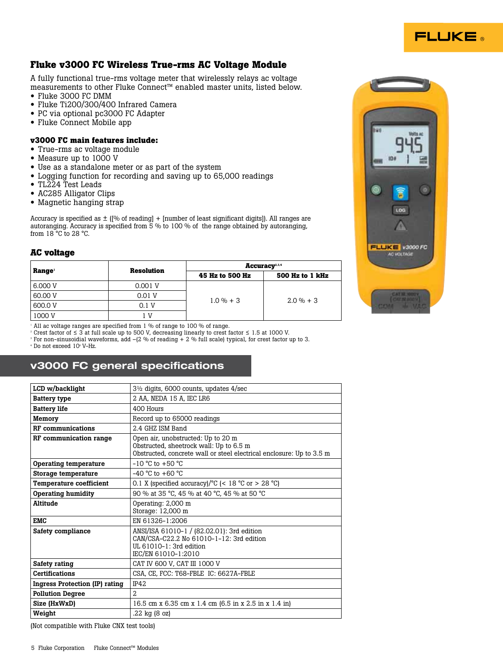# **FLUKE**

# **Fluke v3000 FC Wireless True-rms AC Voltage Module**

A fully functional true-rms voltage meter that wirelessly relays ac voltage measurements to other Fluke Connect™ enabled master units, listed below.

- Fluke 3000 FC DMM
- Fluke Ti200/300/400 Infrared Camera
- PC via optional pc3000 FC Adapter
- Fluke Connect Mobile app

#### **v3000 FC main features include:**

- True-rms ac voltage module
- Measure up to 1000 V
- Use as a standalone meter or as part of the system
- Logging function for recording and saving up to 65,000 readings
- TL224 Test Leads
- AC285 Alligator Clips
- Magnetic hanging strap

Accuracy is specified as  $\pm$  ([% of reading] + [number of least significant digits]). All ranges are autoranging. Accuracy is specified from 5 % to 100 % of the range obtained by autoranging, from 18 °C to 28 °C.

#### **AC voltage**

|                    | Resolution | Accuracy <sup>2,3,4</sup>    |                 |  |
|--------------------|------------|------------------------------|-----------------|--|
| Range <sup>1</sup> |            | 45 Hz to 500 Hz              | 500 Hz to 1 kHz |  |
| 6,000 V            | 0.001 V    |                              |                 |  |
| 60.00 V            | 0.01 V     | $1.0 \% + 3$<br>$2.0 \% + 3$ |                 |  |
| 600.0 V            | 0.1 V      |                              |                 |  |
| 1000 V             | ΙV         |                              |                 |  |

<sup>1</sup> All ac voltage ranges are specified from 1 % of range to 100 % of range.

2 Crest factor of ≤ 3 at full scale up to 500 V, decreasing linearly to crest factor ≤ 1.5 at 1000 V.

 $^{\circ}$  For non-sinusoidial waveforms, add –(2 % of reading + 2 % full scale) typical, for crest factor up to 3.

 $4$  Do not exceed  $10^{\circ}$  V–Hz.

# v3000 FC general specifications

| $3\frac{1}{2}$ digits, 6000 counts, updates $4/sec$                                                                                                   |
|-------------------------------------------------------------------------------------------------------------------------------------------------------|
| 2 AA, NEDA 15 A, IEC LR6                                                                                                                              |
| $400$ Hours                                                                                                                                           |
| Record up to 65000 readings                                                                                                                           |
| 2.4 GHZ ISM Band                                                                                                                                      |
| Open air, unobstructed: Up to 20 m<br>Obstructed, sheetrock wall: Up to 6.5 m<br>Obstructed, concrete wall or steel electrical enclosure: Up to 3.5 m |
| $-10$ °C to $+50$ °C                                                                                                                                  |
| $-40$ °C to $+60$ °C                                                                                                                                  |
| 0.1 X (specified accuracy)/ $^{\circ}$ C (< 18 $^{\circ}$ C or > 28 $^{\circ}$ C)                                                                     |
| 90 % at 35 °C, 45 % at 40 °C, 45 % at 50 °C                                                                                                           |
| Operating: 2,000 m<br>Storage: 12,000 m                                                                                                               |
| EN 61326-1:2006                                                                                                                                       |
| ANSI/ISA 61010-1 / (82.02.01): 3rd edition<br>CAN/CSA-C22.2 No 61010-1-12: 3rd edition<br>UL 61010-1: 3rd edition<br>IEC/EN 61010-1:2010              |
| CAT IV 600 V, CAT III 1000 V                                                                                                                          |
| CSA, CE, FCC: T68-FBLE IC: 6627A-FBLE                                                                                                                 |
| <b>IP42</b>                                                                                                                                           |
| $\mathfrak{D}$                                                                                                                                        |
| 16.5 cm x 6.35 cm x 1.4 cm (6.5 in x 2.5 in x 1.4 in)                                                                                                 |
| .22 kg (8 oz)                                                                                                                                         |
|                                                                                                                                                       |

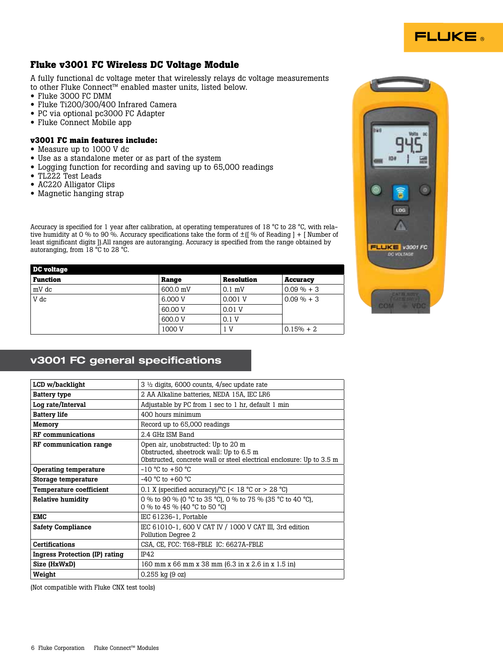

# **Fluke v3001 FC Wireless DC Voltage Module**

A fully functional dc voltage meter that wirelessly relays dc voltage measurements to other Fluke Connect™ enabled master units, listed below.

- Fluke 3000 FC DMM
- Fluke Ti200/300/400 Infrared Camera
- PC via optional pc3000 FC Adapter
- Fluke Connect Mobile app

#### **v3001 FC main features include:**

- Measure up to 1000 V dc
- Use as a standalone meter or as part of the system
- Logging function for recording and saving up to 65,000 readings
- TL222 Test Leads
- AC220 Alligator Clips
- Magnetic hanging strap

Accuracy is specified for 1 year after calibration, at operating temperatures of 18 °C to 28 °C, with relative humidity at 0 % to 90 %. Accuracy specifications take the form of ±([ % of Reading ] + [ Number of least significant digits ]).All ranges are autoranging. Accuracy is specified from the range obtained by autoranging, from 18 °C to 28 °C.

| <b>DC</b> voltage |          |                   |                 |
|-------------------|----------|-------------------|-----------------|
| <b>Function</b>   | Range    | <b>Resolution</b> | <b>Accuracy</b> |
| mV dc             | 600.0 mV | $0.1$ mV          | $0.09\% + 3$    |
| V dc              | 6,000 V  | 0.001 V           | $0.09 \% + 3$   |
|                   | 60.00 V  | 0.01V             |                 |
|                   | 600.0 V  | 0.1V              |                 |
|                   | 1000 V   | 1 V               | $0.15% + 2$     |



# v3001 FC general specifications

| LCD w/backlight                | $3 \frac{1}{2}$ digits, 6000 counts, 4/sec update rate                                                                                                |
|--------------------------------|-------------------------------------------------------------------------------------------------------------------------------------------------------|
| <b>Battery type</b>            | 2 AA Alkaline batteries, NEDA 15A, IEC LR6                                                                                                            |
| Log rate/Interval              | Adjustable by PC from 1 sec to 1 hr, default 1 min                                                                                                    |
| <b>Battery life</b>            | 400 hours minimum                                                                                                                                     |
| Memory                         | Record up to 65,000 readings                                                                                                                          |
| <b>RF</b> communications       | 2.4 GHz ISM Band                                                                                                                                      |
| RF communication range         | Open air, unobstructed: Up to 20 m<br>Obstructed, sheetrock wall: Up to 6.5 m<br>Obstructed, concrete wall or steel electrical enclosure: Up to 3.5 m |
| Operating temperature          | $-10$ °C to $+50$ °C                                                                                                                                  |
| Storage temperature            | $-40$ °C to $+60$ °C                                                                                                                                  |
| <b>Temperature coefficient</b> | 0.1 X (specified accuracy)/ $\degree$ C (< 18 $\degree$ C or > 28 $\degree$ C)                                                                        |
| Relative humidity              | 0 % to 90 % (0 °C to 35 °C), 0 % to 75 % (35 °C to 40 °C),<br>0 % to 45 % (40 °C to 50 °C)                                                            |
| EMC                            | IEC 61236-1, Portable                                                                                                                                 |
| <b>Safety Compliance</b>       | IEC 61010-1, 600 V CAT IV / 1000 V CAT III, 3rd edition<br>Pollution Degree 2                                                                         |
| <b>Certifications</b>          | CSA, CE, FCC: T68-FBLE IC: 6627A-FBLE                                                                                                                 |
| Ingress Protection (IP) rating | <b>IP42</b>                                                                                                                                           |
| Size (HxWxD)                   | 160 mm x 66 mm x 38 mm (6.3 in x 2.6 in x 1.5 in)                                                                                                     |
| Weight                         | $0.255$ kg (9 oz)                                                                                                                                     |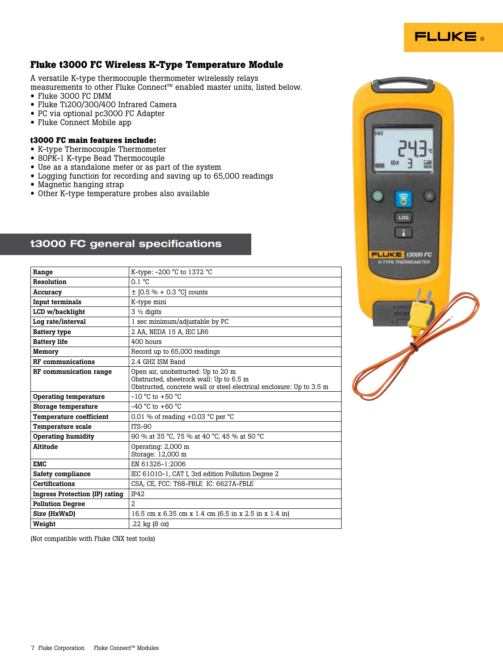

# **Fluke t3000 FC Wireless K-Type Temperature Module**

A versatile K-type thermocouple thermometer wirelessly relays measurements to other Fluke Connect™ enabled master units, listed below.

- Fluke 3000 FC DMM
- Fluke Ti200/300/400 Infrared Camera
- PC via optional pc3000 FC Adapter
- Fluke Connect Mobile app

#### **t3000 FC main features include:**

- K-type Thermocouple Thermometer
- 80PK-1 K-type Bead Thermocouple
- Use as a standalone meter or as part of the system
- Logging function for recording and saving up to 65,000 readings
- Magnetic hanging strap
- Other K-type temperature probes also available

# t3000 FC general specifications

| Range                                 | K-type: -200 °C to 1372 °C                                                                                                                            |
|---------------------------------------|-------------------------------------------------------------------------------------------------------------------------------------------------------|
| Resolution                            | $0.1 \text{ }^{\circ}C$                                                                                                                               |
| Accuracy                              | $\pm$ [0.5 % + 0.3 °C] counts                                                                                                                         |
| Input terminals                       | K-type mini                                                                                                                                           |
| LCD w/backlight                       | $3\frac{1}{2}$ digits                                                                                                                                 |
| Log rate/interval                     | 1 sec minimum/adjustable by PC                                                                                                                        |
| <b>Battery type</b>                   | 2 AA, NEDA 15 A, IEC LR6                                                                                                                              |
| <b>Battery life</b>                   | 400 hours                                                                                                                                             |
| Memory                                | Record up to 65,000 readings                                                                                                                          |
| <b>RF</b> communications              | 2.4 GHZ ISM Band                                                                                                                                      |
| RF communication range                | Open air, unobstructed: Up to 20 m<br>Obstructed, sheetrock wall: Up to 6.5 m<br>Obstructed, concrete wall or steel electrical enclosure: Up to 3.5 m |
| Operating temperature                 | $-10$ °C to $+50$ °C                                                                                                                                  |
| Storage temperature                   | $-40$ °C to $+60$ °C                                                                                                                                  |
| <b>Temperature coefficient</b>        | 0.01 % of reading $+0.03$ °C per °C                                                                                                                   |
| <b>Temperature scale</b>              | $ITS-90$                                                                                                                                              |
| <b>Operating humidity</b>             | 90 % at 35 °C, 75 % at 40 °C, 45 % at 50 °C                                                                                                           |
| Altitude                              | Operating: 2,000 m<br>Storage: 12,000 m                                                                                                               |
| <b>EMC</b>                            | EN 61326-1:2006                                                                                                                                       |
| Safety compliance                     | IEC 61010-1, CAT I, 3rd edition Pollution Degree 2                                                                                                    |
| <b>Certifications</b>                 | CSA, CE, FCC: T68-FBLE IC: 6627A-FBLE                                                                                                                 |
| <b>Ingress Protection (IP) rating</b> | <b>IP42</b>                                                                                                                                           |
| <b>Pollution Degree</b>               | $\overline{2}$                                                                                                                                        |
| Size (HxWxD)                          | 16.5 cm x 6.35 cm x 1.4 cm (6.5 in x 2.5 in x 1.4 in)                                                                                                 |
| Weight                                | .22 kg (8 oz)                                                                                                                                         |